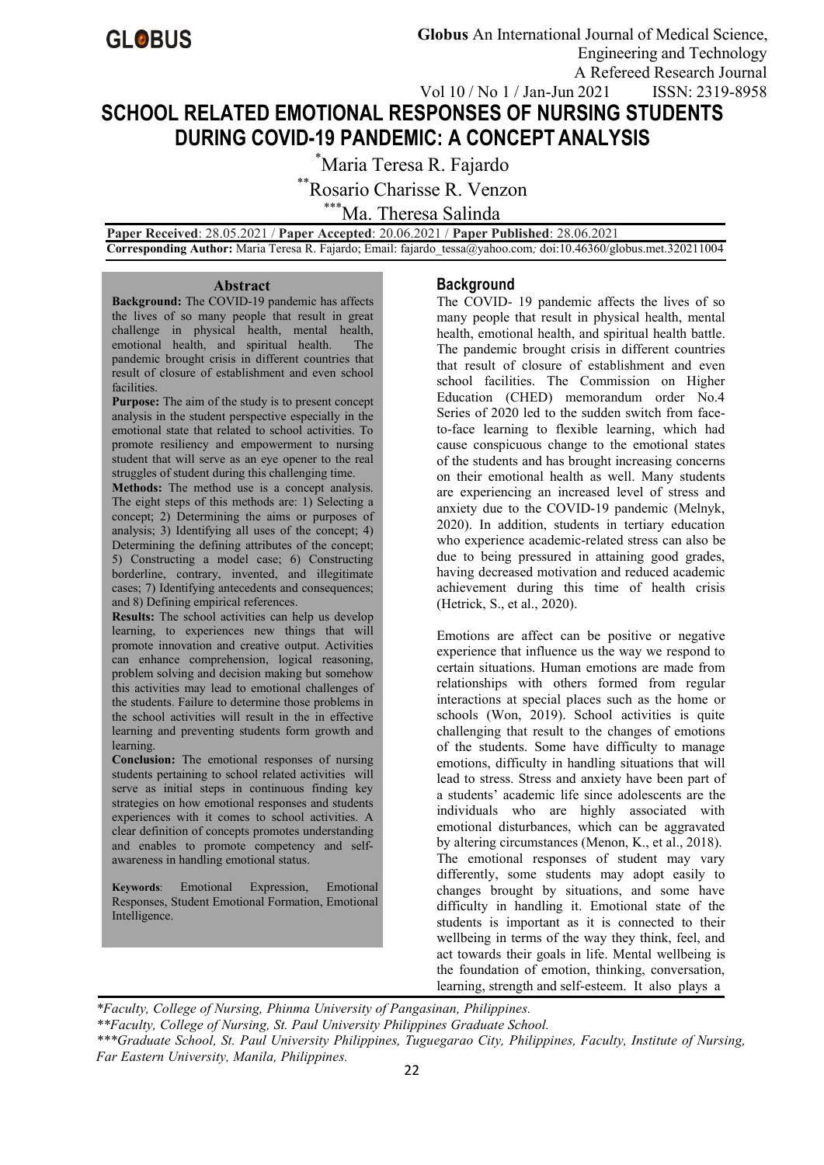

# **SCHOOL RELATED EMOTIONAL RESPONSES OF NURSING STUDENTS DURING COVID-19 PANDEMIC: A CONCEPT ANALYSIS**

\*Maria Teresa R. Fajardo

\*\*Rosario Charisse R. Venzon

\*\*\*Ma. Theresa Salinda

**Paper Received**: 28.05.2021 / **Paper Accepted**: 20.06.2021 / **Paper Published**: 28.06.2021 **Corresponding Author:** Maria Teresa R. Fajardo; Email: fajardo\_tessa@yahoo.com*;* doi:10.46360/globus.met.320211004

#### **Abstract**

**Background:** The COVID-19 pandemic has affects the lives of so many people that result in great challenge in physical health, mental health, emotional health, and spiritual health. The pandemic brought crisis in different countries that result of closure of establishment and even school facilities.

**Purpose:** The aim of the study is to present concept analysis in the student perspective especially in the emotional state that related to school activities. To promote resiliency and empowerment to nursing student that will serve as an eye opener to the real struggles of student during this challenging time.

**Methods:** The method use is a concept analysis. The eight steps of this methods are: 1) Selecting a concept; 2) Determining the aims or purposes of analysis; 3) Identifying all uses of the concept; 4) Determining the defining attributes of the concept; 5) Constructing a model case; 6) Constructing borderline, contrary, invented, and illegitimate cases; 7) Identifying antecedents and consequences; and 8) Defining empirical references.

**Results:** The school activities can help us develop learning, to experiences new things that will promote innovation and creative output. Activities can enhance comprehension, logical reasoning, problem solving and decision making but somehow this activities may lead to emotional challenges of the students. Failure to determine those problems in the school activities will result in the in effective learning and preventing students form growth and learning.

**Conclusion:** The emotional responses of nursing students pertaining to school related activities will serve as initial steps in continuous finding key strategies on how emotional responses and students experiences with it comes to school activities. A clear definition of concepts promotes understanding and enables to promote competency and self awareness in handling emotional status.

**Keywords**: Emotional Expression, Emotional Responses, Student Emotional Formation, Emotional Intelligence.

# **Background**

The COVID- 19 pandemic affects the lives of so many people that result in physical health, mental health, emotional health, and spiritual health battle. The pandemic brought crisis in different countries that result of closure of establishment and even school facilities. The Commission on Higher Education (CHED) memorandum order No.4 Series of 2020 led to the sudden switch from faceto-face learning to flexible learning, which had cause conspicuous change to the emotional states of the students and has brought increasing concerns on their emotional health as well. Many students are experiencing an increased level of stress and anxiety due to the COVID-19 pandemic (Melnyk, 2020). In addition, students in tertiary education who experience academic-related stress can also be due to being pressured in attaining good grades, having decreased motivation and reduced academic achievement during this time of health crisis (Hetrick, S., et al., 2020).

Emotions are affect can be positive or negative experience that influence us the way we respond to certain situations. Human emotions are made from relationships with others formed from regular interactions at special places such as the home or schools (Won, 2019). School activities is quite challenging that result to the changes of emotions of the students. Some have difficulty to manage emotions, difficulty in handling situations that will lead to stress. Stress and anxiety have been part of a students' academic life since adolescents are the individuals who are highly associated with emotional disturbances, which can be aggravated by altering circumstances (Menon, K., et al., 2018). The emotional responses of student may vary differently, some students may adopt easily to changes brought by situations, and some have difficulty in handling it. Emotional state of the students is important as it is connected to their wellbeing in terms of the way they think, feel, and act towards their goals in life. Mental wellbeing is the foundation of emotion, thinking, conversation, learning, strength and self-esteem. It also plays a

*\*Faculty, College of Nursing, Phinma University of Pangasinan, Philippines.*

*\*\*Faculty, College of Nursing, St. Paul University Philippines Graduate School.*

*\*\*\*Graduate School, St. Paul University Philippines, Tuguegarao City, Philippines, Faculty, Institute of Nursing, Far Eastern University,Manila, Philippines.*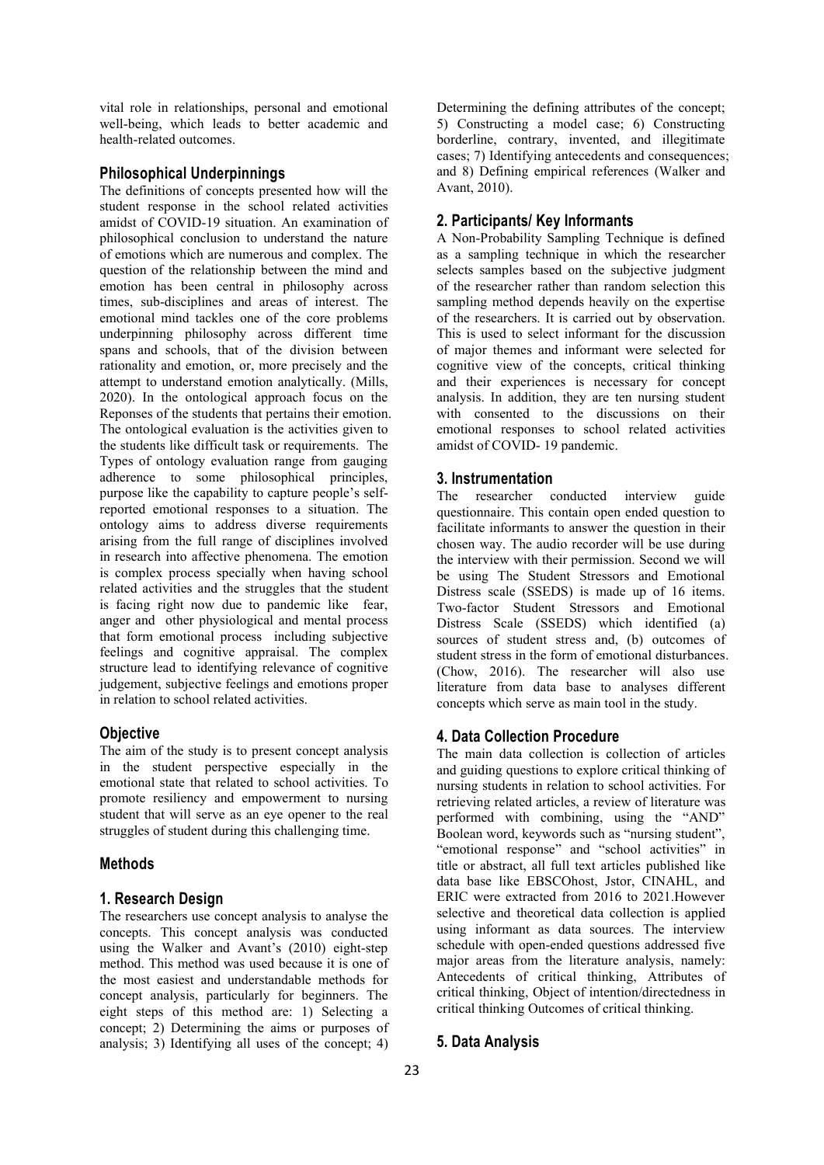vital role in relationships, personal and emotional well-being, which leads to better academic and health-related outcomes.

## **Philosophical Underpinnings**

The definitions of concepts presented how will the student response in the school related activities amidst of COVID-19 situation. An examination of philosophical conclusion to understand the nature of emotions which are numerous and complex. The question of the relationship between the mind and emotion has been central in philosophy across times, sub-disciplines and areas of interest. The emotional mind tackles one of the core problems underpinning philosophy across different time spans and schools, that of the division between rationality and emotion, or, more precisely and the attempt to understand emotion analytically. (Mills, 2020). In the ontological approach focus on the Reponses of the students that pertains their emotion. The ontological evaluation is the activities given to the students like difficult task or requirements. The Types of ontology evaluation range from gauging adherence to some philosophical principles, purpose like the capability to capture people's selfreported emotional responses to a situation. The ontology aims to address diverse requirements arising from the full range of disciplines involved in research into affective phenomena. The emotion is complex process specially when having school related activities and the struggles that the student is facing right now due to pandemic like fear, anger and other physiological and mental process that form emotional process including subjective feelings and cognitive appraisal. The complex structure lead to identifying relevance of cognitive judgement, subjective feelings and emotions proper in relation to school related activities.

# **Objective**

The aim of the study is to present concept analysis in the student perspective especially in the emotional state that related to school activities. To promote resiliency and empowerment to nursing student that will serve as an eye opener to the real struggles of student during this challenging time.

## **Methods**

# **1. Research Design**

The researchers use concept analysis to analyse the concepts. This concept analysis was conducted using the Walker and Avant's (2010) eight-step method. This method was used because it is one of the most easiest and understandable methods for concept analysis, particularly for beginners. The eight steps of this method are: 1) Selecting a concept; 2) Determining the aims or purposes of analysis; 3) Identifying all uses of the concept; 4)

Determining the defining attributes of the concept; 5) Constructing a model case; 6) Constructing borderline, contrary, invented, and illegitimate cases; 7) Identifying antecedents and consequences; and 8) Defining empirical references (Walker and Avant, 2010).

# **2. Participants/ Key Informants**

A Non-Probability Sampling Technique is defined as a sampling technique in which the researcher selects samples based on the subjective judgment of the researcher rather than random selection this sampling method depends heavily on the expertise of the researchers. It is carried out by observation. This is used to select informant for the discussion of major themes and informant were selected for cognitive view of the concepts, critical thinking and their experiences is necessary for concept analysis. In addition, they are ten nursing student with consented to the discussions on their emotional responses to school related activities amidst of COVID- 19 pandemic.

### **3. Instrumentation**

The researcher conducted interview guide questionnaire. This contain open ended question to facilitate informants to answer the question in their chosen way. The audio recorder will be use during the interview with their permission. Second we will be using The Student Stressors and Emotional Distress scale (SSEDS) is made up of 16 items. Two-factor Student Stressors and Emotional Distress Scale (SSEDS) which identified (a) sources of student stress and, (b) outcomes of student stress in the form of emotional disturbances. (Chow, 2016). The researcher will also use literature from data base to analyses different concepts which serve as main tool in the study.

## **4. Data Collection Procedure**

The main data collection is collection of articles and guiding questions to explore critical thinking of nursing students in relation to school activities. For retrieving related articles, a review of literature was performed with combining, using the "AND" Boolean word, keywords such as "nursing student", "emotional response" and "school activities" in title or abstract, all full text articles published like data base like EBSCOhost, Jstor, CINAHL, and ERIC were extracted from 2016 to 2021.However selective and theoretical data collection is applied using informant as data sources. The interview schedule with open-ended questions addressed five major areas from the literature analysis, namely: Antecedents of critical thinking, Attributes of critical thinking, Object of intention/directedness in critical thinking Outcomes of critical thinking.

# **5. Data Analysis**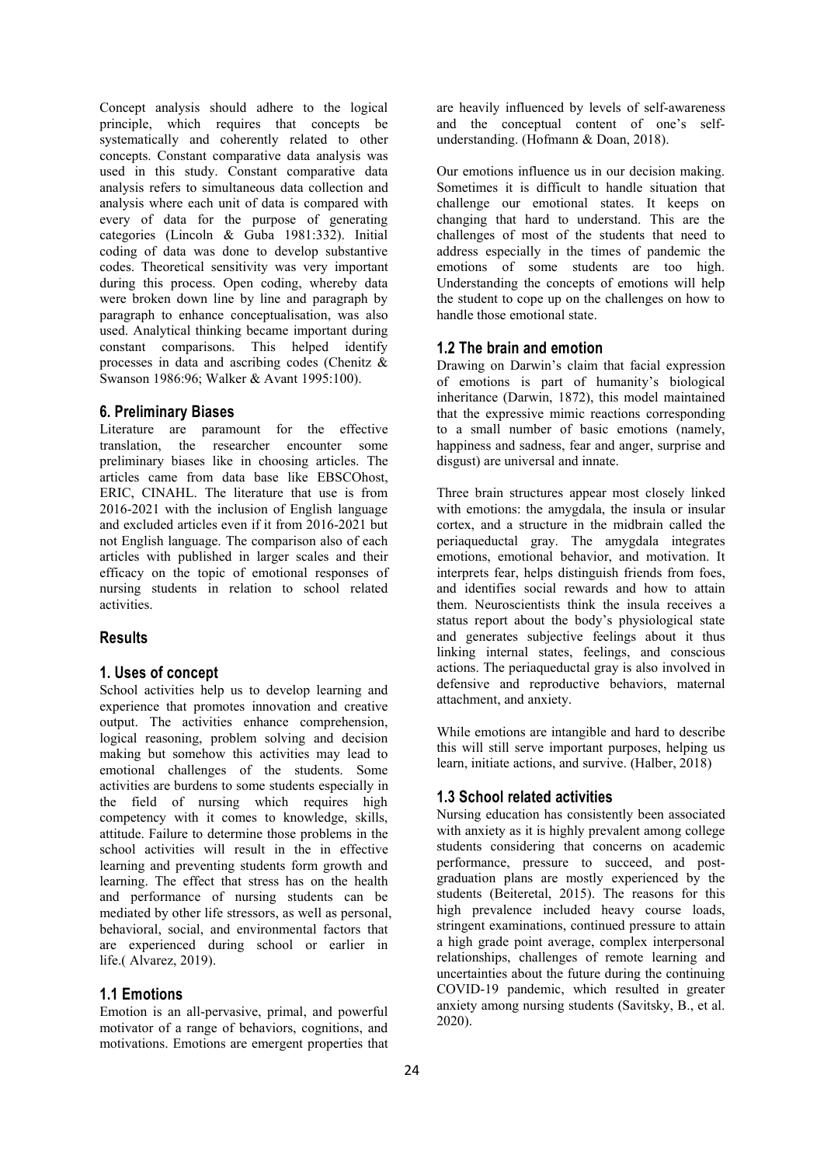Concept analysis should adhere to the logical principle, which requires that concepts be systematically and coherently related to other concepts. Constant comparative data analysis was used in this study. Constant comparative data analysis refers to simultaneous data collection and analysis where each unit of data is compared with every of data for the purpose of generating categories (Lincoln & Guba 1981:332). Initial coding of data was done to develop substantive codes. Theoretical sensitivity was very important during this process. Open coding, whereby data were broken down line by line and paragraph by paragraph to enhance conceptualisation, was also used. Analytical thinking became important during constant comparisons. This helped identify processes in data and ascribing codes (Chenitz & Swanson 1986:96; Walker & Avant 1995:100).

#### **6. Preliminary Biases**

Literature are paramount for the effective translation, the researcher encounter some preliminary biases like in choosing articles. The articles came from data base like EBSCOhost, ERIC, CINAHL. The literature that use is from 2016-2021 with the inclusion of English language and excluded articles even if it from 2016-2021 but not English language. The comparison also of each articles with published in larger scales and their efficacy on the topic of emotional responses of nursing students in relation to school related activities.

# **Results**

### **1. Uses of concept**

School activities help us to develop learning and experience that promotes innovation and creative output. The activities enhance comprehension, logical reasoning, problem solving and decision making but somehow this activities may lead to emotional challenges of the students. Some activities are burdens to some students especially in the field of nursing which requires high competency with it comes to knowledge, skills, attitude. Failure to determine those problems in the school activities will result in the in effective learning and preventing students form growth and learning. The effect that stress has on the health and performance of nursing students can be mediated by other life stressors, as well as personal, behavioral, social, and environmental factors that are experienced during school or earlier in life.( Alvarez, 2019).

## **1.1 Emotions**

Emotion is an all-pervasive, primal, and powerful motivator of a range of behaviors, cognitions, and motivations. Emotions are emergent properties that

are heavily influenced by levels of self-awareness and the conceptual content of one's self understanding. (Hofmann & Doan, 2018).

Our emotions influence us in our decision making. Sometimes it is difficult to handle situation that challenge our emotional states. It keeps on changing that hard to understand. This are the challenges of most of the students that need to address especially in the times of pandemic the emotions of some students are too high. Understanding the concepts of emotions will help the student to cope up on the challenges on how to handle those emotional state.

#### **1.2 The brain and emotion**

Drawing on Darwin's claim that facial expression of emotions is part of humanity's biological inheritance (Darwin, 1872), this model maintained that the expressive mimic reactions corresponding to a small number of basic emotions (namely, happiness and sadness, fear and anger, surprise and disgust) are universal and innate.

Three brain structures appear most closely linked with emotions: the amygdala, the insula or insular cortex, and a structure in the midbrain called the periaqueductal gray. The amygdala integrates emotions, emotional behavior, and motivation. It interprets fear, helps distinguish friends from foes, and identifies social rewards and how to attain them. Neuroscientists think the insula receives a status report about the body's physiological state and generates subjective feelings about it thus linking internal states, feelings, and conscious actions. The periaqueductal gray is also involved in defensive and reproductive behaviors, maternal attachment, and anxiety.

While emotions are intangible and hard to describe this will still serve important purposes, helping us learn, initiate actions, and survive. (Halber, 2018)

# **1.3 School related activities**

Nursing education has consistently been associated with anxiety as it is highly prevalent among college students considering that concerns on academic performance, pressure to succeed, and post graduation plans are mostly experienced by the students (Beiteretal, 2015). The reasons for this high prevalence included heavy course loads, stringent examinations, continued pressure to attain a high grade point average, complex interpersonal relationships, challenges of remote learning and uncertainties about the future during the continuing COVID-19 pandemic, which resulted in greater anxiety among nursing students (Savitsky, B., et al. 2020).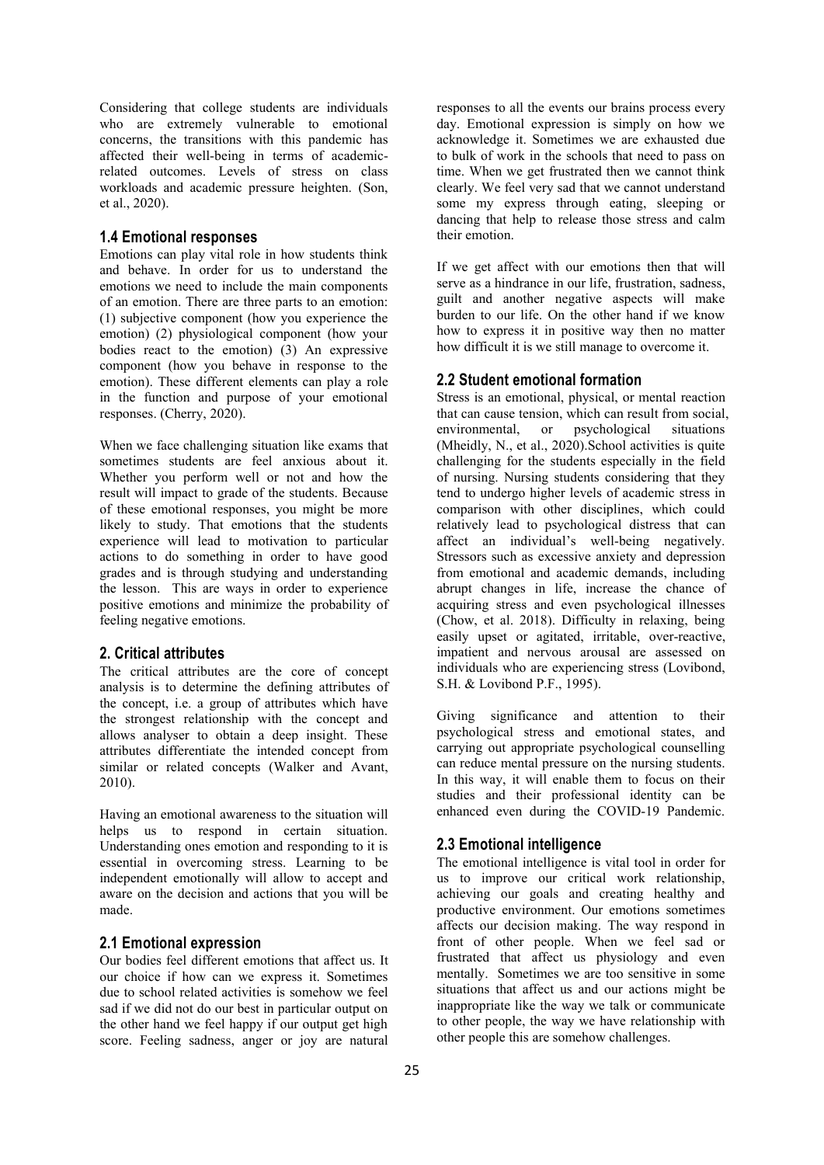Considering that college students are individuals who are extremely vulnerable to emotional concerns, the transitions with this pandemic has affected their well-being in terms of academicrelated outcomes. Levels of stress on class workloads and academic pressure heighten. (Son, et al., 2020).

## **1.4 Emotional responses**

Emotions can play vital role in how students think and behave. In order for us to understand the emotions we need to include the main components of an emotion. There are three parts to an emotion: (1) subjective component (how you experience the emotion) (2) physiological component (how your bodies react to the emotion) (3) An expressive component (how you behave in response to the emotion). These different elements can play a role in the function and purpose of your emotional responses. (Cherry, 2020).

When we face challenging situation like exams that sometimes students are feel anxious about it. Whether you perform well or not and how the result will impact to grade of the students. Because of these emotional responses, you might be more likely to study. That emotions that the students experience will lead to motivation to particular actions to do something in order to have good grades and is through studying and understanding the lesson. This are ways in order to experience positive emotions and minimize the probability of feeling negative emotions.

## **2. Critical attributes**

The critical attributes are the core of concept analysis is to determine the defining attributes of the concept, i.e. a group of attributes which have the strongest relationship with the concept and allows analyser to obtain a deep insight. These attributes differentiate the intended concept from similar or related concepts (Walker and Avant, 2010).

Having an emotional awareness to the situation will helps us to respond in certain situation. Understanding ones emotion and responding to it is essential in overcoming stress. Learning to be independent emotionally will allow to accept and aware on the decision and actions that you will be made.

#### **2.1 Emotional expression**

Our bodies feel different emotions that affect us. It our choice if how can we express it. Sometimes due to school related activities is somehow we feel sad if we did not do our best in particular output on the other hand we feel happy if our output get high score. Feeling sadness, anger or joy are natural responses to all the events our brains process every day. Emotional expression is simply on how we acknowledge it. Sometimes we are exhausted due to bulk of work in the schools that need to pass on time. When we get frustrated then we cannot think clearly. We feel very sad that we cannot understand some my express through eating, sleeping or dancing that help to release those stress and calm their emotion.

If we get affect with our emotions then that will serve as a hindrance in our life, frustration, sadness, guilt and another negative aspects will make burden to our life. On the other hand if we know how to express it in positive way then no matter how difficult it is we still manage to overcome it.

#### **2.2 Student emotional formation**

Stress is an emotional, physical, or mental reaction that can cause tension, which can result from social, environmental, or psychological situations (Mheidly, N., et al., 2020).School activities is quite challenging for the students especially in the field of nursing. Nursing students considering that they tend to undergo higher levels of academic stress in comparison with other disciplines, which could relatively lead to psychological distress that can affect an individual's well-being negatively. Stressors such as excessive anxiety and depression from emotional and academic demands, including abrupt changes in life, increase the chance of acquiring stress and even psychological illnesses (Chow, et al. 2018). Difficulty in relaxing, being easily upset or agitated, irritable, over-reactive, impatient and nervous arousal are assessed on individuals who are experiencing stress (Lovibond, S.H. & Lovibond P.F., 1995).

Giving significance and attention to their psychological stress and emotional states, and carrying out appropriate psychological counselling can reduce mental pressure on the nursing students. In this way, it will enable them to focus on their studies and their professional identity can be enhanced even during the COVID-19 Pandemic.

#### **2.3 Emotional intelligence**

The emotional intelligence is vital tool in order for us to improve our critical work relationship, achieving our goals and creating healthy and productive environment. Our emotions sometimes affects our decision making. The way respond in front of other people. When we feel sad or frustrated that affect us physiology and even mentally. Sometimes we are too sensitive in some situations that affect us and our actions might be inappropriate like the way we talk or communicate to other people, the way we have relationship with other people this are somehow challenges.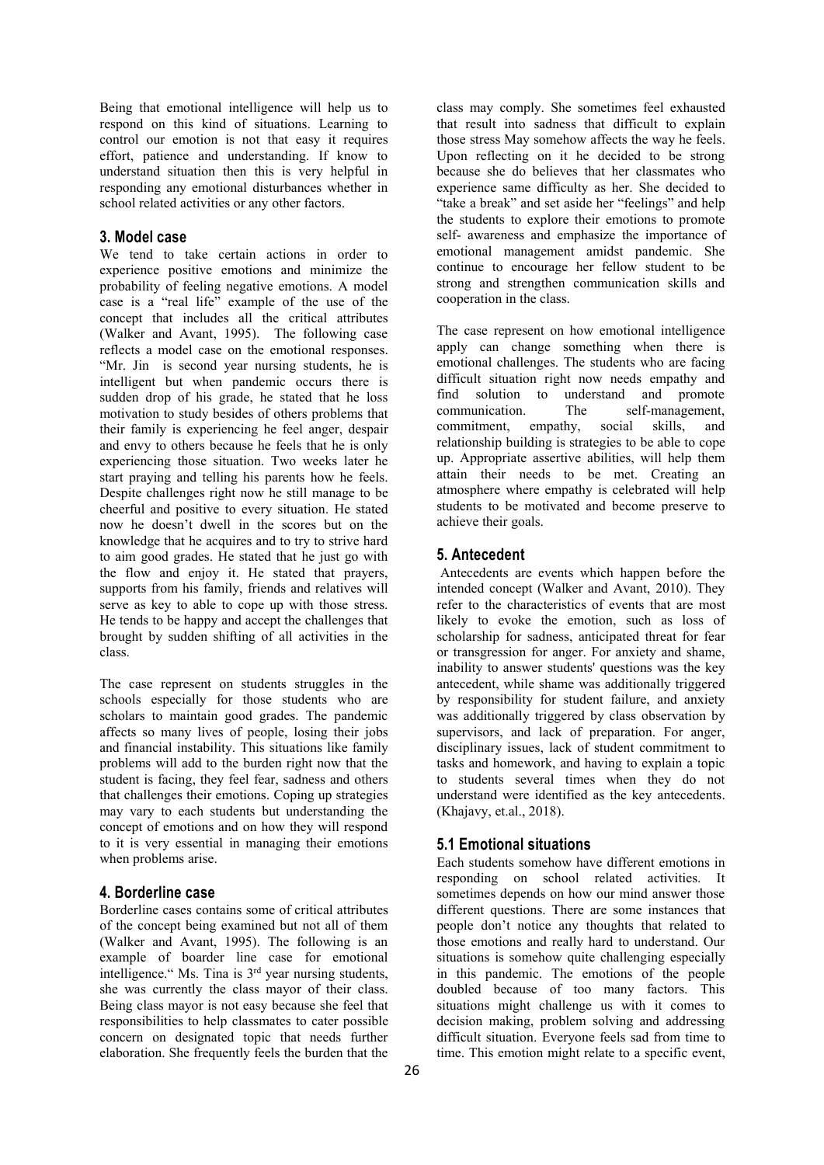Being that emotional intelligence will help us to respond on this kind of situations. Learning to control our emotion is not that easy it requires effort, patience and understanding. If know to understand situation then this is very helpful in responding any emotional disturbances whether in school related activities or any other factors.

# **3. Model case**

We tend to take certain actions in order to experience positive emotions and minimize the probability of feeling negative emotions. A model case is a "real life" example of the use of the concept that includes all the critical attributes (Walker and Avant, 1995). The following case reflects a model case on the emotional responses. "Mr. Jin is second year nursing students, he is intelligent but when pandemic occurs there is sudden drop of his grade, he stated that he loss find solution<br>motivation to study besides of others problems that communication. motivation to study besides of others problems that their family is experiencing he feel anger, despair and envy to others because he feels that he is only experiencing those situation. Two weeks later he start praying and telling his parents how he feels. Despite challenges right now he still manage to be cheerful and positive to every situation. He stated now he doesn't dwell in the scores but on the knowledge that he acquires and to try to strive hard to aim good grades. He stated that he just go with the flow and enjoy it. He stated that prayers, supports from his family, friends and relatives will serve as key to able to cope up with those stress. He tends to be happy and accept the challenges that brought by sudden shifting of all activities in the class.

The case represent on students struggles in the schools especially for those students who are scholars to maintain good grades. The pandemic affects so many lives of people, losing their jobs and financial instability. This situations like family problems will add to the burden right now that the student is facing, they feel fear, sadness and others that challenges their emotions. Coping up strategies may vary to each students but understanding the concept of emotions and on how they will respond to it is very essential in managing their emotions when problems arise.

## **4. Borderline case**

Borderline cases contains some of critical attributes of the concept being examined but not all of them (Walker and Avant, 1995). The following is an example of boarder line case for emotional intelligence." Ms. Tina is  $3<sup>rd</sup>$  year nursing students, in the she was currently the class mayor of their class. Being class mayor is not easy because she feel that responsibilities to help classmates to cater possible concern on designated topic that needs further elaboration. She frequently feels the burden that the

class may comply. She sometimes feel exhausted that result into sadness that difficult to explain those stress May somehow affects the way he feels. Upon reflecting on it he decided to be strong because she do believes that her classmates who experience same difficulty as her. She decided to "take a break" and setaside her "feelings" and help the students to explore their emotions to promote self- awareness and emphasize the importance of emotional management amidst pandemic. She continue to encourage her fellow student to be strong and strengthen communication skills and cooperation in the class.

The case represent on how emotional intelligence apply can change something when there is emotional challenges. The students who are facing difficult situation right now needs empathy and find solution to understand and promote The self-management, commitment, empathy, social skills, and relationship building is strategies to be able to cope up. Appropriate assertive abilities, will help them attain their needs to be met. Creating an atmosphere where empathy is celebrated will help students to be motivated and become preserve to achieve their goals.

## **5. Antecedent**

Antecedents are events which happen before the intended concept (Walker and Avant, 2010). They refer to the characteristics of events that are most likely to evoke the emotion, such as loss of scholarship for sadness, anticipated threat for fear or transgression for anger. For anxiety and shame, inability to answer students' questions was the key antecedent, while shame was additionally triggered by responsibility for student failure, and anxiety was additionally triggered by class observation by supervisors, and lack of preparation. For anger, disciplinary issues, lack of student commitment to tasks and homework, and having to explain a topic to students several times when they do not understand were identified as the key antecedents. (Khajavy, et.al., 2018).

## **5.1 Emotional situations**

Each students somehow have different emotions in responding on school related activities. It sometimes depends on how our mind answer those different questions. There are some instances that people don't notice any thoughts that related to those emotions and really hard to understand. Our situations is somehow quite challenging especially in this pandemic. The emotions of the people doubled because of too many factors. This situations might challenge us with it comes to decision making, problem solving and addressing difficult situation. Everyone feels sad from time to time. This emotion might relate to a specific event,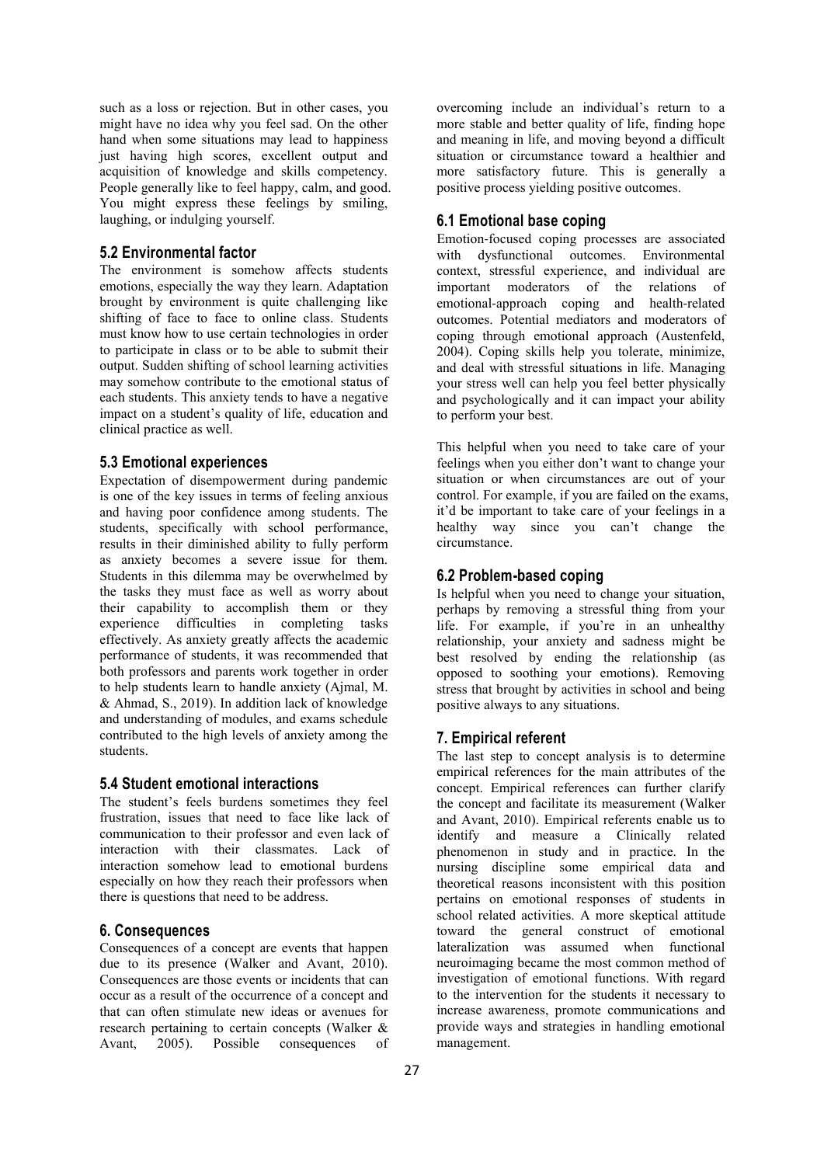such as a loss or rejection. But in other cases, you might have no idea why you feel sad. On the other hand when some situations may lead to happiness just having high scores, excellent output and acquisition of knowledge and skills competency. People generally like to feel happy, calm, and good. You might express these feelings by smiling, laughing, or indulging yourself.

# **5.2 Environmental factor**

The environment is somehow affects students emotions, especially the way they learn. Adaptation brought by environment is quite challenging like shifting of face to face to online class. Students must know how to use certain technologies in order to participate in class or to be able to submit their output. Sudden shifting of school learning activities may somehow contribute to the emotional status of each students. This anxiety tends to have a negative impact on a student's quality of life, education and clinical practice as well.

# **5.3 Emotional experiences**

Expectation of disempowerment during pandemic is one of the key issues in terms of feeling anxious and having poor confidence among students. The students, specifically with school performance, results in their diminished ability to fully perform as anxiety becomes a severe issue for them. Students in this dilemma may be overwhelmed by the tasks they must face as well as worry about their capability to accomplish them or they experience difficulties in completing tasks effectively. As anxiety greatly affects the academic performance of students, it was recommended that both professors and parents work together in order to help students learn to handle anxiety (Ajmal, M. & Ahmad, S., 2019). In addition lack of knowledge and understanding of modules, and exams schedule contributed to the high levels of anxiety among the students.

#### **5.4 Student emotional interactions**

The student's feels burdens sometimes they feel frustration, issues that need to face like lack of communication to their professor and even lack of interaction with their classmates. Lack of interaction somehow lead to emotional burdens especially on how they reach their professors when there is questions that need to be address.

# **6. Consequences**

Consequences of a concept are events that happen due to its presence (Walker and Avant, 2010). Consequences are those events or incidents that can occur as a result of the occurrence of a concept and that can often stimulate new ideas or avenues for research pertaining to certain concepts (Walker & Avant, 2005). Possible consequences of overcoming include an individual's return to a more stable and better quality of life, finding hope and meaning in life, and moving beyond a difficult situation or circumstance toward a healthier and more satisfactory future. This is generally a positive process yielding positive outcomes.

# **6.1 Emotional base coping**

Emotion‐focused coping processes are associated with dysfunctional outcomes. Environmental context, stressful experience, and individual are important moderators of the relations of emotional-approach coping and health-related outcomes. Potential mediators and moderators of coping through emotional approach (Austenfeld, 2004). Coping skills help you tolerate, minimize, and deal with stressful situations in life. Managing your stress well can help you feel better physically and psychologically and it can impact your ability to perform your best.

This helpful when you need to take care of your feelings when you either don't want to change your situation or when circumstances are out of your control. For example, if you are failed on the exams, it'd be important to take care of your feelings in a healthy way since you can't change the circumstance.

# **6.2 Problem-based coping**

Is helpful when you need to change your situation, perhaps by removing a stressful thing from your life. For example, if you're in an unhealthy relationship, your anxiety and sadness might be best resolved by ending the relationship (as opposed to soothing your emotions). Removing stress that brought by activities in school and being positive always to any situations.

# **7. Empirical referent**

The last step to concept analysis is to determine empirical references for the main attributes of the concept. Empirical references can further clarify the concept and facilitate its measurement (Walker and Avant, 2010). Empirical referents enable us to identify and measure a Clinically related phenomenon in study and in practice. In the nursing discipline some empirical data and theoretical reasons inconsistent with this position pertains on emotional responses of students in school related activities. A more skeptical attitude toward the general construct of emotional lateralization was assumed when functional neuroimaging became the most common method of investigation of emotional functions. With regard to the intervention for the students it necessary to increase awareness, promote communications and provide ways and strategies in handling emotional management.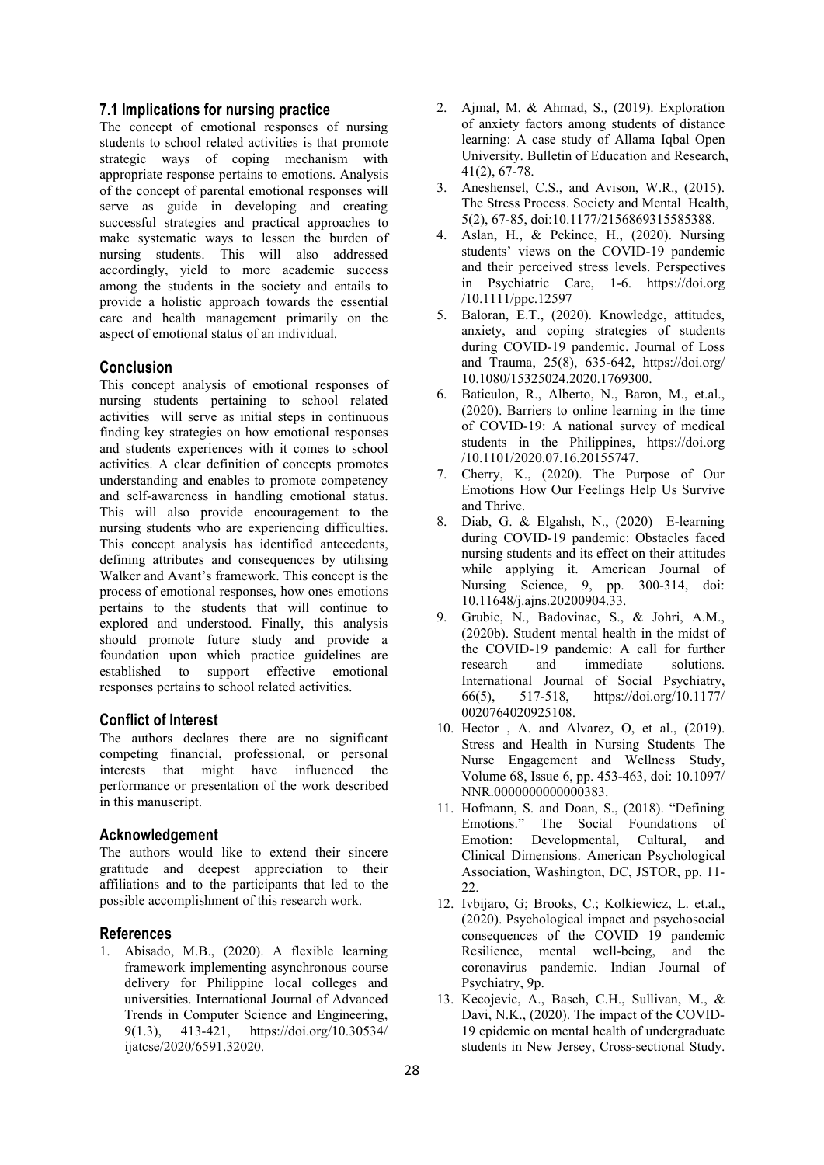# **7.1 Implications for nursing practice**

The concept of emotional responses of nursing students to school related activities is that promote strategic ways of coping mechanism with appropriate response pertains to emotions. Analysis of the concept of parental emotional responses will serve as guide in developing and creating successful strategies and practical approaches to make systematic ways to lessen the burden of nursing students. This will also addressed accordingly, yield to more academic success among the students in the society and entails to provide a holistic approach towards the essential care and health management primarily on the aspect of emotional status of an individual.

# **Conclusion**

This concept analysis of emotional responses of nursing students pertaining to school related activities will serve as initial steps in continuous finding key strategies on how emotional responses and students experiences with it comes to school activities. A clear definition of concepts promotes understanding and enables to promote competency and self-awareness in handling emotional status. This will also provide encouragement to the 8 nursing students who are experiencing difficulties. This concept analysis has identified antecedents, defining attributes and consequences by utilising Walker and Avant's framework. This concept is the process of emotional responses, how ones emotions pertains to the students that will continue to explored and understood. Finally, this analysis should promote future study and provide a foundation upon which practice guidelines are the COV established to support effective emotional responses pertains to school related activities.

# **Conflict of Interest**

The authors declares there are no significant competing financial, professional, or personal interests that might have influenced the performance or presentation of the work described in this manuscript.

#### **Acknowledgement**

The authors would like to extend their sincere gratitude and deepest appreciation to their affiliations and to the participants that led to the possible accomplishment of this research work.

#### **References**

1. Abisado, M.B., (2020). A flexible learning framework implementing asynchronous course delivery for Philippine local colleges and universities. International Journal of Advanced Trends in Computer Science and Engineering, 9(1.3), 413-421, [https://doi.org/10.30534/](https://doi.org/10.30534/ijatcse/2020/6591.32020) ijatcse/2020/6591.32020.

- 2. Ajmal, M. & Ahmad, S., (2019). Exploration of anxiety factors among students of distance learning: A case study of Allama Iqbal Open University. Bulletin of Education and Research, 41(2), 67-78.
- Aneshensel, C.S., and Avison, W.R., (2015). The Stress Process. Society and Mental Health, 5(2), 67-85, doi:10.1177/2156869315585388.
- 4. Aslan, H., & Pekince, H., (2020). Nursing students' views on the COVID‐19 pandemic and their perceived stress levels. Perspectives in Psychiatric Care, 1-6. [https://doi.org](https://doi.org/10.1111/ppc.12597) /10.1111/ppc.12597
- 5. Baloran, E.T., (2020). Knowledge, attitudes, anxiety, and coping strategies of students during COVID-19 pandemic. Journal of Loss and Trauma, 25(8), 635-642, [https://doi.org/](https://doi.org/10.1080/15325024.2020.1769300) 10.1080/15325024.2020.1769300.
- 6. Baticulon, R., Alberto, N., Baron, M., et.al., (2020). Barriers to online learning in the time of COVID-19: A national survey of medical students in the Philippines, [https://doi.org](https://doi.org/10.1101/2020.07.16.20155747) /10.1101/2020.07.16.20155747.
- 7. Cherry, K., (2020). The Purpose of Our Emotions How Our Feelings Help Us Survive and Thrive.
- Diab, G. & Elgahsh, N., (2020) E-learning during COVID-19 pandemic: Obstacles faced nursing students and its effect on their attitudes while applying it. American Journal of Nursing Science, 9, pp. 300-314, doi: 10.11648/j.ajns.20200904.33.
- 9. Grubic, N., Badovinac, S., & Johri, A.M., (2020b). Student mental health in the midst of the COVID-19 pandemic: A call for further and immediate solutions. International Journal of Social Psychiatry, 66(5), 517-518, https://doi.org/10.1177/ 0020764020925108.
- 10. Hector , A. and Alvarez, O, et al., (2019). Stress and Health in Nursing Students The Nurse Engagement and Wellness Study, Volume 68, Issue 6, pp. 453-463, doi: 10.1097/ NNR.0000000000000383.
- 11. Hofmann, S. and Doan, S., (2018). "Defining Emotions." The Social Foundations of Emotion: Developmental, Cultural, and Clinical Dimensions. American Psychological Association, Washington, DC, JSTOR, pp. 11- 22.
- 12. Ivbijaro, G; Brooks, C.; Kolkiewicz, L. et.al., (2020). Psychological impact and psychosocial consequences of the COVID 19 pandemic Resilience, mental well-being, and the coronavirus pandemic. Indian Journal of Psychiatry, 9p.
- 13. Kecojevic, A., Basch, C.H., Sullivan, M., & Davi, N.K., (2020). The impact of the COVID- 19 epidemic on mental health of undergraduate students in New Jersey, Cross-sectional Study.